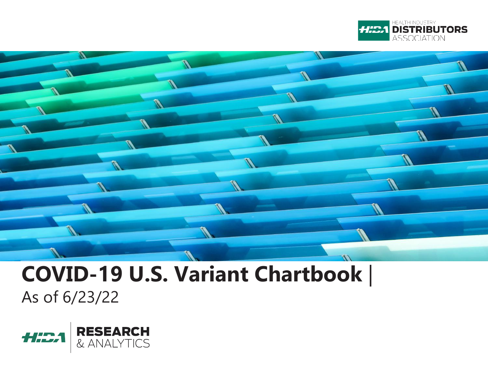



### **COVID-19 U.S. Variant Chartbook** | As of 6/23/22

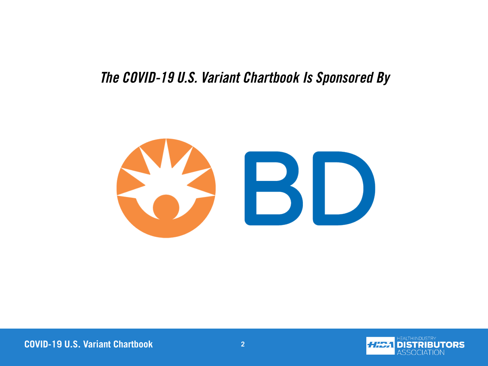### *The COVID-19 U.S. Variant Chartbook Is Sponsored By*



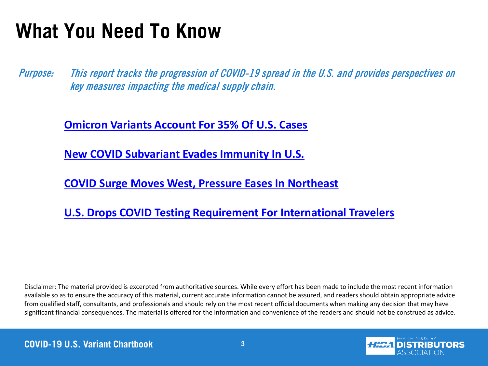### **What You Need To Know**

This report tracks the progression of COVID-19 spread in the U.S. and provides perspectives on key measures impacting the medical supply chain. Purpose:

**[Omicron Variants Account For 35% Of U.S. Cases](https://www.beckershospitalreview.com/public-health/omicron-sister-variants-account-for-35-of-us-cases-4-covid-19-updates.html?origin=BHRE&utm_source=BHRE&utm_medium=email&utm_content=newsletter&oly_enc_id=9874E8108545H8D)**

**[New COVID Subvariant Evades Immunity In U.S.](https://fortune.com/2022/06/21/stealth-omicron-new-dominant-subvariant-ba5-covid-coronavirus-pandemic-cdc/?utm_source=Iterable&utm_medium=email&utm_campaign=fortunedaily&tpcc=nlfortunedaily)**

**[COVID Surge Moves West, Pressure Eases In Northeast](https://www.wsj.com/articles/latest-u-s-covid-19-surge-moves-west-as-pressure-eases-in-northeast-11654421402)**

**[U.S. Drops COVID Testing Requirement For International Travelers](https://www.cnbc.com/2022/06/10/biden-administration-to-drop-covid-testing-requirements-for-international-air-travel.html)**

Disclaimer: The material provided is excerpted from authoritative sources. While every effort has been made to include the most recent information available so as to ensure the accuracy of this material, current accurate information cannot be assured, and readers should obtain appropriate advice from qualified staff, consultants, and professionals and should rely on the most recent official documents when making any decision that may have significant financial consequences. The material is offered for the information and convenience of the readers and should not be construed as advice.

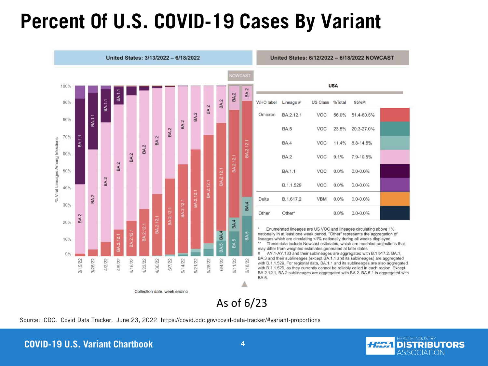### **Percent Of U.S. COVID-19 Cases By Variant**



| <b>USA</b> |                            |            |         |                 |  |  |  |  |  |  |  |
|------------|----------------------------|------------|---------|-----------------|--|--|--|--|--|--|--|
| WHO label  | Lineage # US Class % Total |            |         | 95%PI           |  |  |  |  |  |  |  |
| Omicron    | BA.2.12.1                  | VOC        | 56.0%   | 51.4-60.5%      |  |  |  |  |  |  |  |
|            | <b>BA.5</b>                | VOC        | 23.5%   | 20.3-27.0%      |  |  |  |  |  |  |  |
|            | <b>BA4</b>                 | VOC        |         | 11.4% 8.8-14.5% |  |  |  |  |  |  |  |
|            | <b>BA.2</b>                | VOC        | 9.1%    | 7.9-10.5%       |  |  |  |  |  |  |  |
|            | BA.1.1                     | VOC        | $0.0\%$ | $0.0 - 0.0\%$   |  |  |  |  |  |  |  |
|            | B.1.1.529                  | VOC        | $0.0\%$ | $0.0 - 0.0\%$   |  |  |  |  |  |  |  |
| Delta      | B.1.617.2                  | <b>VBM</b> | $0.0\%$ | $0.0 - 0.0\%$   |  |  |  |  |  |  |  |
| Other      | Other <sup>*</sup>         |            | $0.0\%$ | $0.0 - 0.0\%$   |  |  |  |  |  |  |  |

United States: 6/12/2022 - 6/18/2022 NOWCAST

Enumerated lineages are US VOC and lineages circulating above 1% nationally in at least one week period. "Other" represents the aggregation of lineages which are circulating <1% nationally during all weeks displayed. These data include Nowcast estimates, which are modeled projections that

may differ from weighted estimates generated at later dates AY.1-AY.133 and their sublineages are aggregated with B.1.617.2. BA.1, BA.3 and their sublineages (except BA.1.1 and its sublineages) are aggregated with B.1.1.529. For regional data, BA.1.1 and its sublineages are also aggregated with B.1.1.529, as they currently cannot be reliably called in each region. Except BA.2.12.1, BA.2 sublineages are aggregated with BA.2. BA.5.1 is aggregated with

As of 6/23

Source: CDC. Covid Data Tracker. June 23, 2022 https://covid.cdc.gov/covid-data-tracker/#variant-proportions

#### **COVID-19 U.S. Variant Chartbook 4**

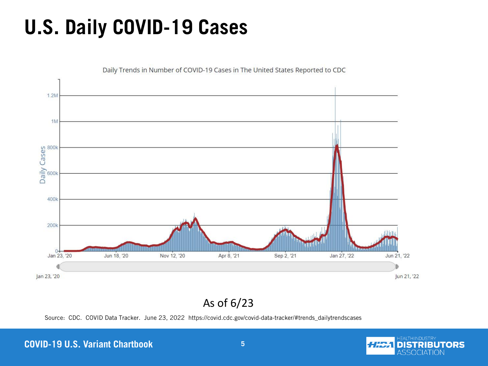## **U.S. Daily COVID-19 Cases**



Daily Trends in Number of COVID-19 Cases in The United States Reported to CDC

#### As of 6/23

Source: CDC. COVID Data Tracker. June 23, 2022 https://covid.cdc.gov/covid-data-tracker/#trends\_dailytrendscases

#### **COVID-19 U.S. Variant Chartbook 5**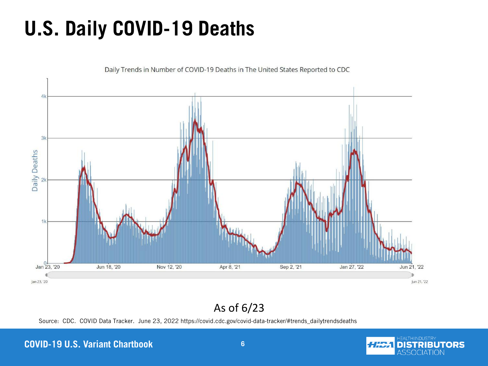## **U.S. Daily COVID-19 Deaths**



### As of 6/23

Source: CDC. COVID Data Tracker. June 23, 2022 https://covid.cdc.gov/covid-data-tracker/#trends\_dailytrendsdeaths

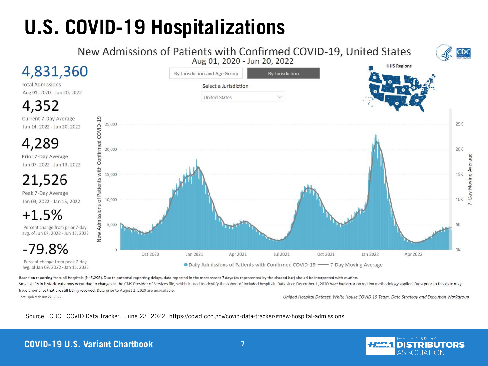# **U.S. COVID-19 Hospitalizations**



Based on reporting from all hospitals (N=5,295). Due to potential reporting delays, data reported in the most recent 7 days (as represented by the shaded bar) should be interpreted with caution. Small shifts in historic data may occur due to changes in the CMS Provider of Services file, which is used to identify the cohort of included hospitals. Data since December 1, 2020 have had error correction methodology app

have anomalies that are still being resolved. Data prior to August 1, 2020 are unavailable.

Last Updated: Jun 22, 2022

Unified Hospital Dataset, White House COVID-19 Team, Data Strategy and Execution Workgroup

Source: CDC. COVID Data Tracker. June 23, 2022 https://covid.cdc.gov/covid-data-tracker/#new-hospital-admissions

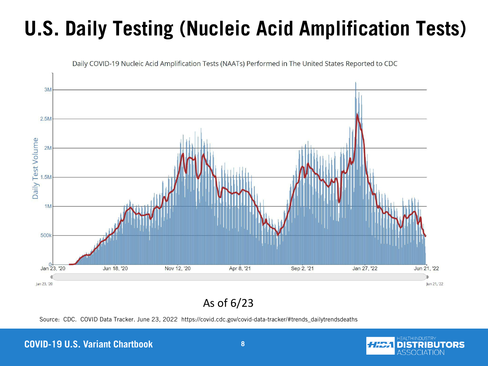# **U.S. Daily Testing (Nucleic Acid Amplification Tests)**



Daily COVID-19 Nucleic Acid Amplification Tests (NAATs) Performed in The United States Reported to CDC

As of 6/23

Source: CDC. COVID Data Tracker. June 23, 2022 https://covid.cdc.gov/covid-data-tracker/#trends\_dailytrendsdeaths

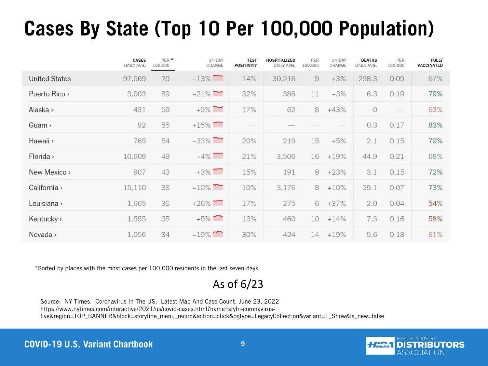## **Cases By State (Top 10 Per 100,000 Population)**

|                      | CASES<br>DAILY AVG. | PER <sup>V</sup><br>100,000 | $14$ -DAY<br>CHANGE | <b>TEST</b><br><b>POSITIVITY</b> | <b>HOSPITALIZED</b><br>DAILY AVG. | PER<br>100,000 | $14-DAY$<br>CHANGE | <b>DEATHS</b><br>DAILY AVG. | PER<br>100,000 | <b>FULLY</b><br><b>VACCINATED</b> |
|----------------------|---------------------|-----------------------------|---------------------|----------------------------------|-----------------------------------|----------------|--------------------|-----------------------------|----------------|-----------------------------------|
| <b>United States</b> | 97,069              | 29                          | $-13\%$             | 14%                              | 30,216                            | $\Theta$       | $+3%$              | 298.3                       | 0.09           | 67%                               |
| Puerto Rico >        | 3,003               | 89                          | $-21\%$             | 32%                              | 386                               | 11             | $-3%$              | 6.3                         | 0.19           | 79%                               |
| Alaska >             | 431                 | 59                          | $+5\%$              | 17%                              | 62                                | $\rm 8$        | $+43%$             | $\circ$                     |                | 63%                               |
| Guam >               | 92                  | 55                          | $+15\%$             |                                  |                                   |                |                    | 0.3                         | 0.17           | 83%                               |
| Hawaii >             | 765                 | 54                          | $-33\%$             | 20%                              | 219                               | 15             | $+5%$              | 2.1                         | 0.15           | 79%                               |
| Florida >            | 10,609              | 49                          | $-4\%$              | 21%                              | 3,506                             | 16             | $+19%$             | 44.9                        | 0.21           | 68%                               |
| New Mexico >         | 907                 | 43                          | $+3\%$              | 15%                              | 191                               | 9              | $+23%$             | 3.1                         | 0.15           | 72%                               |
| California ›         | 15,110              | 38                          | $-10\%$             | 10%                              | 3,176                             | 8              | $+10%$             | 29.1                        | 0.07           | 73%                               |
| Louisiana »          | 1,665               | 36                          | $+26\%$             | 17%                              | 275                               | 6              | $+37%$             | 2.0                         | 0.04           | 54%                               |
| Kentucky >           | 1,555               | 35                          | $+5\%$              | 13%                              | 460                               | 10             | $+14%$             | 7.3                         | 0.16           | 58%                               |
| Nevada >             | 1,056               | 34                          | $-19\%$             | 30%                              | 424                               | 14             | $+19%$             | 5.6                         | 0.18           | 61%                               |

\*Sorted by places with the most cases per 100,000 residents in the last seven days.

As of 6/23

Source: NY Times. Coronavirus In The US. Latest Map And Case Count. June 23, 2022 https://www.nytimes.com/interactive/2021/us/covid-cases.html?name=styln-coronaviruslive&region=TOP\_BANNER&block=storyline\_menu\_recirc&action=click&pgtype=LegacyCollection&variant=1\_Show&is\_new=false

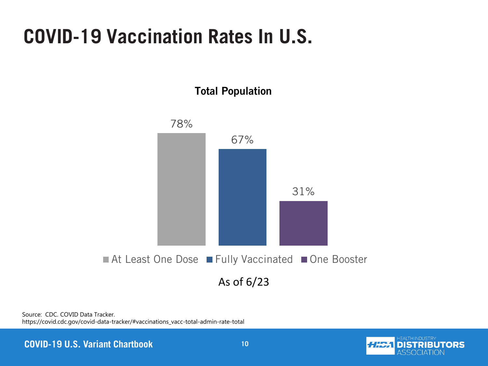### **COVID-19 Vaccination Rates In U.S.**



Source: CDC. COVID Data Tracker. https://covid.cdc.gov/covid-data-tracker/#vaccinations\_vacc-total-admin-rate-total

**COVID-19 U.S. Variant Chartbook 10** 10